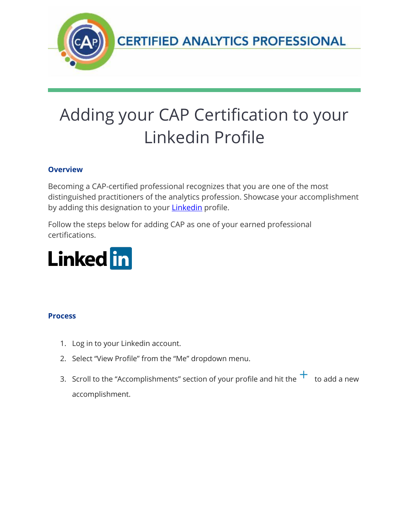

# Adding your CAP Certification to your Linkedin Profile

## **Overview**

Becoming a CAP-certified professional recognizes that you are one of the most distinguished practitioners of the analytics profession. Showcase your accomplishment by adding this designation to your **Linkedin** profile.

Follow the steps below for adding CAP as one of your earned professional certifications.



### **Process**

- 1. Log in to your Linkedin account.
- 2. Select "View Profile" from the "Me" dropdown menu.
- 3. Scroll to the "Accomplishments" section of your profile and hit the  $+$  to add a new accomplishment.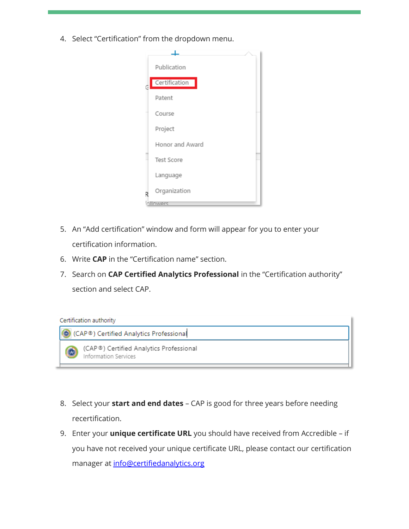4. Select "Certification" from the dropdown menu.



- 5. An "Add certification" window and form will appear for you to enter your certification information.
- 6. Write **CAP** in the "Certification name" section.
- 7. Search on **CAP Certified Analytics Professional** in the "Certification authority" section and select CAP.

#### Certification authority



- 8. Select your **start and end dates** CAP is good for three years before needing recertification.
- 9. Enter your **unique certificate URL** you should have received from Accredible if you have not received your unique certificate URL, please contact our certification manager at [info@certifiedanalytics.org](mailto:info@certifiedanalytics.org)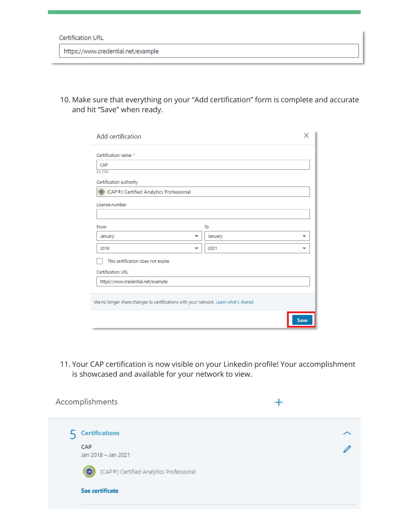#### **Certification URL**

https://www.credential.net/example

10. Make sure that everything on your "Add certification" form is complete and accurate and hit "Save" when ready.

| Add certification                                                                   |  |         |      |  |  |
|-------------------------------------------------------------------------------------|--|---------|------|--|--|
| Certification name *                                                                |  |         |      |  |  |
| CAP                                                                                 |  |         |      |  |  |
| <b>Ex: CEA</b>                                                                      |  |         |      |  |  |
| Certification authority                                                             |  |         |      |  |  |
| CAP®) Certified Analytics Professional                                              |  |         |      |  |  |
| License number                                                                      |  |         |      |  |  |
|                                                                                     |  |         |      |  |  |
| From                                                                                |  | To      |      |  |  |
| January<br>▼                                                                        |  | January |      |  |  |
| 2018<br>$\overline{\phantom{a}}$                                                    |  | 2021    |      |  |  |
| This certification does not expire                                                  |  |         |      |  |  |
| <b>Certification URL</b>                                                            |  |         |      |  |  |
| https://www.credential.net/example                                                  |  |         |      |  |  |
|                                                                                     |  |         |      |  |  |
| We no longer share changes to certifications with your network. Learn what's shared |  |         |      |  |  |
|                                                                                     |  |         |      |  |  |
|                                                                                     |  |         | Save |  |  |

11. Your CAP certification is now visible on your Linkedin profile! Your accomplishment is showcased and available for your network to view.